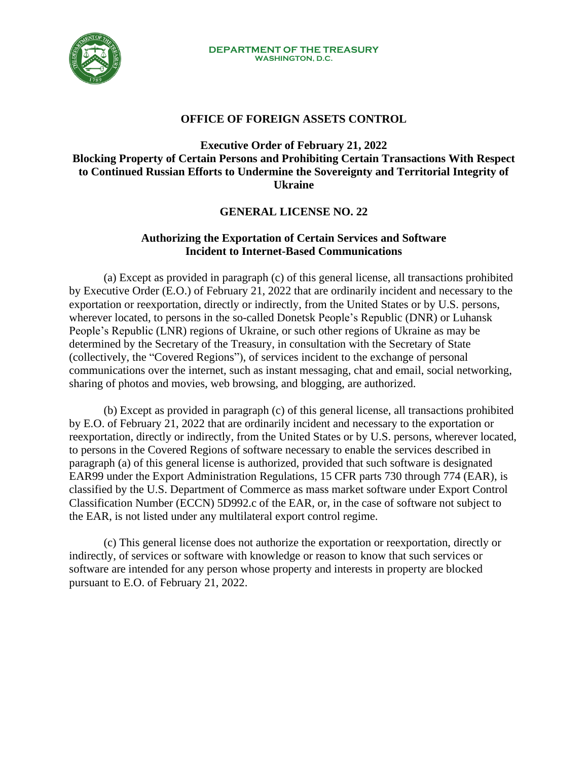

## **OFFICE OF FOREIGN ASSETS CONTROL**

## **Executive Order of February 21, 2022 Blocking Property of Certain Persons and Prohibiting Certain Transactions With Respect to Continued Russian Efforts to Undermine the Sovereignty and Territorial Integrity of Ukraine**

## **GENERAL LICENSE NO. 22**

## **Authorizing the Exportation of Certain Services and Software Incident to Internet-Based Communications**

(a) Except as provided in paragraph (c) of this general license, all transactions prohibited by Executive Order (E.O.) of February 21, 2022 that are ordinarily incident and necessary to the exportation or reexportation, directly or indirectly, from the United States or by U.S. persons, wherever located, to persons in the so-called Donetsk People's Republic (DNR) or Luhansk People's Republic (LNR) regions of Ukraine, or such other regions of Ukraine as may be determined by the Secretary of the Treasury, in consultation with the Secretary of State (collectively, the "Covered Regions"), of services incident to the exchange of personal communications over the internet, such as instant messaging, chat and email, social networking, sharing of photos and movies, web browsing, and blogging, are authorized.

(b) Except as provided in paragraph (c) of this general license, all transactions prohibited by E.O. of February 21, 2022 that are ordinarily incident and necessary to the exportation or reexportation, directly or indirectly, from the United States or by U.S. persons, wherever located, to persons in the Covered Regions of software necessary to enable the services described in paragraph (a) of this general license is authorized, provided that such software is designated EAR99 under the Export Administration Regulations, 15 CFR parts 730 through 774 (EAR), is classified by the U.S. Department of Commerce as mass market software under Export Control Classification Number (ECCN) 5D992.c of the EAR, or, in the case of software not subject to the EAR, is not listed under any multilateral export control regime.

(c) This general license does not authorize the exportation or reexportation, directly or indirectly, of services or software with knowledge or reason to know that such services or software are intended for any person whose property and interests in property are blocked pursuant to E.O. of February 21, 2022.